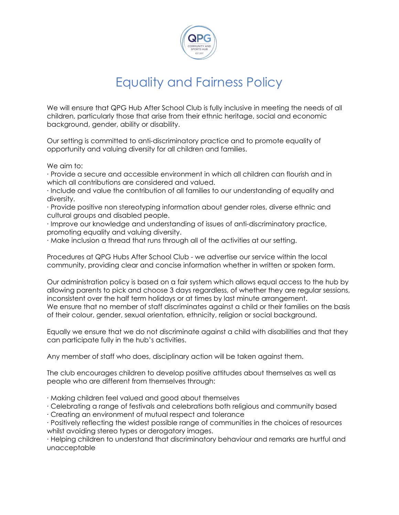

## Equality and Fairness Policy

We will ensure that QPG Hub After School Club is fully inclusive in meeting the needs of all children, particularly those that arise from their ethnic heritage, social and economic background, gender, ability or disability.

Our setting is committed to anti-discriminatory practice and to promote equality of opportunity and valuing diversity for all children and families.

We aim to:

· Provide a secure and accessible environment in which all children can flourish and in which all contributions are considered and valued.

· Include and value the contribution of all families to our understanding of equality and diversity.

· Provide positive non stereotyping information about gender roles, diverse ethnic and cultural groups and disabled people.

· Improve our knowledge and understanding of issues of anti-discriminatory practice, promoting equality and valuing diversity.

· Make inclusion a thread that runs through all of the activities at our setting.

Procedures at QPG Hubs After School Club - we advertise our service within the local community, providing clear and concise information whether in written or spoken form.

Our administration policy is based on a fair system which allows equal access to the hub by allowing parents to pick and choose 3 days regardless, of whether they are regular sessions, inconsistent over the half term holidays or at times by last minute arrangement. We ensure that no member of staff discriminates against a child or their families on the basis of their colour, gender, sexual orientation, ethnicity, religion or social background.

Equally we ensure that we do not discriminate against a child with disabilities and that they can participate fully in the hub's activities.

Any member of staff who does, disciplinary action will be taken against them.

The club encourages children to develop positive attitudes about themselves as well as people who are different from themselves through:

· Making children feel valued and good about themselves

· Celebrating a range of festivals and celebrations both religious and community based

· Creating an environment of mutual respect and tolerance

· Positively reflecting the widest possible range of communities in the choices of resources whilst avoiding stereo types or derogatory images.

· Helping children to understand that discriminatory behaviour and remarks are hurtful and unacceptable